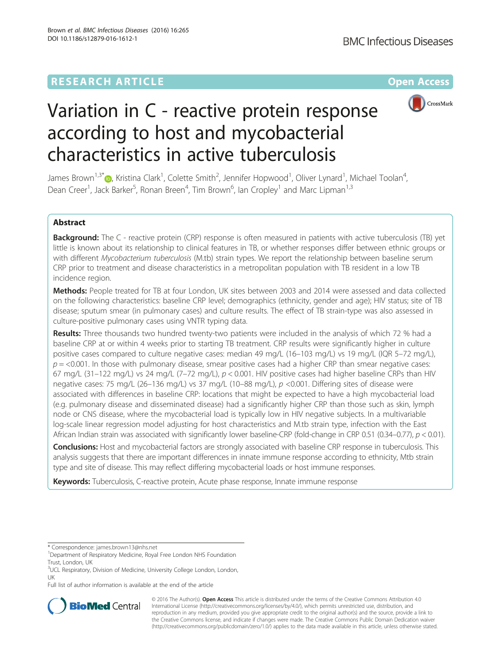

# Variation in C - reactive protein response according to host and mycobacterial characteristics in active tuberculosis

James Brown $^{1,3^\ast}$ @, Kristina Clark $^1$ , Colette Smith $^2$ , Jennifer Hopwood $^1$ , Oliver Lynard $^1$ , Michael Toolan $^4$ , Dean Creer<sup>1</sup>, Jack Barker<sup>5</sup>, Ronan Breen<sup>4</sup>, Tim Brown<sup>6</sup>, Ian Cropley<sup>1</sup> and Marc Lipman<sup>1,3</sup>

# Abstract

Background: The C - reactive protein (CRP) response is often measured in patients with active tuberculosis (TB) yet little is known about its relationship to clinical features in TB, or whether responses differ between ethnic groups or with different Mycobacterium tuberculosis (M.tb) strain types. We report the relationship between baseline serum CRP prior to treatment and disease characteristics in a metropolitan population with TB resident in a low TB incidence region.

Methods: People treated for TB at four London, UK sites between 2003 and 2014 were assessed and data collected on the following characteristics: baseline CRP level; demographics (ethnicity, gender and age); HIV status; site of TB disease; sputum smear (in pulmonary cases) and culture results. The effect of TB strain-type was also assessed in culture-positive pulmonary cases using VNTR typing data.

Results: Three thousands two hundred twenty-two patients were included in the analysis of which 72 % had a baseline CRP at or within 4 weeks prior to starting TB treatment. CRP results were significantly higher in culture positive cases compared to culture negative cases: median 49 mg/L (16–103 mg/L) vs 19 mg/L (IQR 5–72 mg/L),  $p = 0.001$ . In those with pulmonary disease, smear positive cases had a higher CRP than smear negative cases: 67 mg/L (31–122 mg/L) vs 24 mg/L (7–72 mg/L),  $p < 0.001$ . HIV positive cases had higher baseline CRPs than HIV negative cases: 75 mg/L (26–136 mg/L) vs 37 mg/L (10–88 mg/L), p <0.001. Differing sites of disease were associated with differences in baseline CRP: locations that might be expected to have a high mycobacterial load (e.g. pulmonary disease and disseminated disease) had a significantly higher CRP than those such as skin, lymph node or CNS disease, where the mycobacterial load is typically low in HIV negative subjects. In a multivariable log-scale linear regression model adjusting for host characteristics and M.tb strain type, infection with the East African Indian strain was associated with significantly lower baseline-CRP (fold-change in CRP 0.51 (0.34–0.77), p < 0.01).

Conclusions: Host and mycobacterial factors are strongly associated with baseline CRP response in tuberculosis. This analysis suggests that there are important differences in innate immune response according to ethnicity, Mtb strain type and site of disease. This may reflect differing mycobacterial loads or host immune responses.

Keywords: Tuberculosis, C-reactive protein, Acute phase response, Innate immune response

Full list of author information is available at the end of the article



© 2016 The Author(s). Open Access This article is distributed under the terms of the Creative Commons Attribution 4.0 International License [\(http://creativecommons.org/licenses/by/4.0/](http://creativecommons.org/licenses/by/4.0/)), which permits unrestricted use, distribution, and reproduction in any medium, provided you give appropriate credit to the original author(s) and the source, provide a link to the Creative Commons license, and indicate if changes were made. The Creative Commons Public Domain Dedication waiver [\(http://creativecommons.org/publicdomain/zero/1.0/](http://creativecommons.org/publicdomain/zero/1.0/)) applies to the data made available in this article, unless otherwise stated.

<sup>\*</sup> Correspondence: [james.brown13@nhs.net](mailto:james.brown13@nhs.net) <sup>1</sup>

<sup>&</sup>lt;sup>1</sup>Department of Respiratory Medicine, Royal Free London NHS Foundation Trust, London, UK

<sup>&</sup>lt;sup>3</sup>UCL Respiratory, Division of Medicine, University College London, London, UK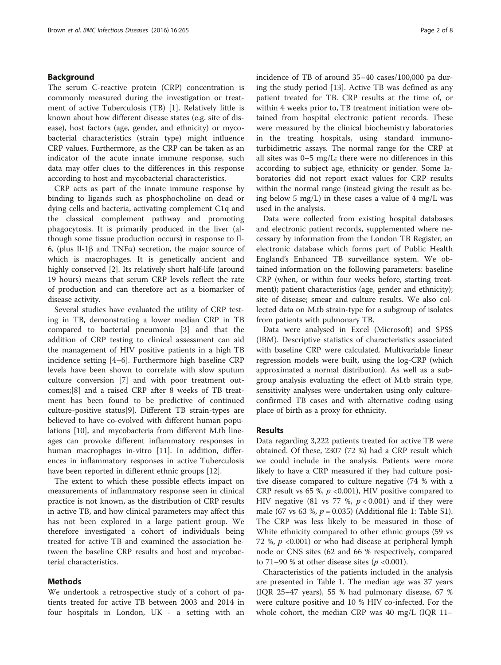## Background

The serum C-reactive protein (CRP) concentration is commonly measured during the investigation or treatment of active Tuberculosis (TB) [\[1](#page-6-0)]. Relatively little is known about how different disease states (e.g. site of disease), host factors (age, gender, and ethnicity) or mycobacterial characteristics (strain type) might influence CRP values. Furthermore, as the CRP can be taken as an indicator of the acute innate immune response, such data may offer clues to the differences in this response according to host and mycobacterial characteristics.

CRP acts as part of the innate immune response by binding to ligands such as phosphocholine on dead or dying cells and bacteria, activating complement C1q and the classical complement pathway and promoting phagocytosis. It is primarily produced in the liver (although some tissue production occurs) in response to Il-6, (plus Il-1β and TNFα) secretion, the major source of which is macrophages. It is genetically ancient and highly conserved [\[2](#page-6-0)]. Its relatively short half-life (around 19 hours) means that serum CRP levels reflect the rate of production and can therefore act as a biomarker of disease activity.

Several studies have evaluated the utility of CRP testing in TB, demonstrating a lower median CRP in TB compared to bacterial pneumonia [\[3](#page-6-0)] and that the addition of CRP testing to clinical assessment can aid the management of HIV positive patients in a high TB incidence setting [\[4](#page-6-0)–[6](#page-7-0)]. Furthermore high baseline CRP levels have been shown to correlate with slow sputum culture conversion [[7\]](#page-7-0) and with poor treatment outcomes;[[8\]](#page-7-0) and a raised CRP after 8 weeks of TB treatment has been found to be predictive of continued culture-positive status[\[9\]](#page-7-0). Different TB strain-types are believed to have co-evolved with different human populations [[10\]](#page-7-0), and mycobacteria from different M.tb lineages can provoke different inflammatory responses in human macrophages in-vitro [\[11](#page-7-0)]. In addition, differences in inflammatory responses in active Tuberculosis have been reported in different ethnic groups [[12\]](#page-7-0).

The extent to which these possible effects impact on measurements of inflammatory response seen in clinical practice is not known, as the distribution of CRP results in active TB, and how clinical parameters may affect this has not been explored in a large patient group. We therefore investigated a cohort of individuals being treated for active TB and examined the association between the baseline CRP results and host and mycobacterial characteristics.

## Methods

We undertook a retrospective study of a cohort of patients treated for active TB between 2003 and 2014 in four hospitals in London, UK - a setting with an incidence of TB of around 35–40 cases/100,000 pa during the study period [\[13\]](#page-7-0). Active TB was defined as any patient treated for TB. CRP results at the time of, or within 4 weeks prior to, TB treatment initiation were obtained from hospital electronic patient records. These were measured by the clinical biochemistry laboratories in the treating hospitals, using standard immunoturbidimetric assays. The normal range for the CRP at all sites was 0–5 mg/L; there were no differences in this according to subject age, ethnicity or gender. Some laboratories did not report exact values for CRP results within the normal range (instead giving the result as being below 5 mg/L) in these cases a value of 4 mg/L was used in the analysis.

Data were collected from existing hospital databases and electronic patient records, supplemented where necessary by information from the London TB Register, an electronic database which forms part of Public Health England's Enhanced TB surveillance system. We obtained information on the following parameters: baseline CRP (when, or within four weeks before, starting treatment); patient characteristics (age, gender and ethnicity); site of disease; smear and culture results. We also collected data on M.tb strain-type for a subgroup of isolates from patients with pulmonary TB.

Data were analysed in Excel (Microsoft) and SPSS (IBM). Descriptive statistics of characteristics associated with baseline CRP were calculated. Multivariable linear regression models were built, using the log-CRP (which approximated a normal distribution). As well as a subgroup analysis evaluating the effect of M.tb strain type, sensitivity analyses were undertaken using only cultureconfirmed TB cases and with alternative coding using place of birth as a proxy for ethnicity.

## Results

Data regarding 3,222 patients treated for active TB were obtained. Of these, 2307 (72 %) had a CRP result which we could include in the analysis. Patients were more likely to have a CRP measured if they had culture positive disease compared to culture negative (74 % with a CRP result vs 65 %,  $p \le 0.001$ ), HIV positive compared to HIV negative (81 vs 77 %,  $p < 0.001$ ) and if they were male (67 vs 63 %,  $p = 0.035$ ) (Additional file [1:](#page-6-0) Table S1). The CRP was less likely to be measured in those of White ethnicity compared to other ethnic groups (59 vs 72 %,  $p \le 0.001$ ) or who had disease at peripheral lymph node or CNS sites (62 and 66 % respectively, compared to 71–90 % at other disease sites ( $p < 0.001$ ).

Characteristics of the patients included in the analysis are presented in Table [1.](#page-2-0) The median age was 37 years (IQR 25–47 years), 55 % had pulmonary disease, 67 % were culture positive and 10 % HIV co-infected. For the whole cohort, the median CRP was 40 mg/L (IQR 11–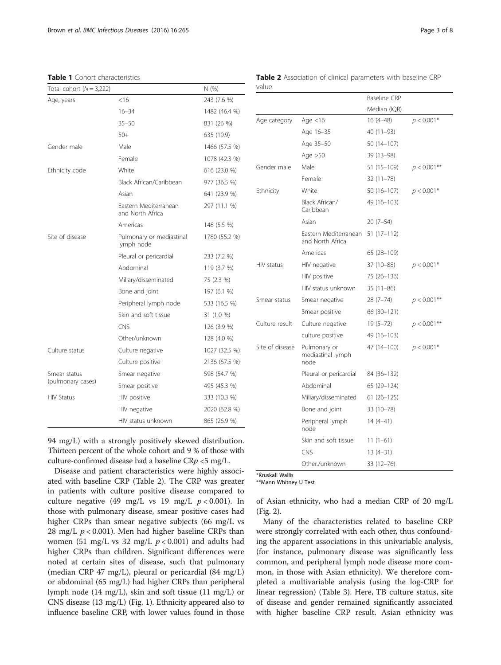<span id="page-2-0"></span>

|  | <b>Table 1</b> Cohort characteristics |  |
|--|---------------------------------------|--|
|--|---------------------------------------|--|

| Total cohort $(N = 3,222)$ |                                           | N (%)         |
|----------------------------|-------------------------------------------|---------------|
| Age, years                 | <16                                       | 243 (7.6 %)   |
|                            | $16 - 34$                                 | 1482 (46.4 %) |
|                            | $35 - 50$                                 | 831 (26 %)    |
|                            | $50+$                                     | 635 (19.9)    |
| Gender male                | Male                                      | 1466 (57.5 %) |
|                            | Female                                    | 1078 (42.3 %) |
| Ethnicity code             | White                                     | 616 (23.0 %)  |
|                            | Black African/Caribbean                   | 977 (36.5 %)  |
|                            | Asian                                     | 641 (23.9 %)  |
|                            | Eastern Mediterranean<br>and North Africa | 297 (11.1 %)  |
|                            | Americas                                  | 148 (5.5 %)   |
| Site of disease            | Pulmonary or mediastinal<br>lymph node    | 1780 (55.2 %) |
|                            | Pleural or pericardial                    | 233 (7.2 %)   |
|                            | Abdominal                                 | 119 (3.7 %)   |
|                            | Miliary/disseminated                      | 75 (2.3 %)    |
|                            | Bone and joint                            | 197 (6.1 %)   |
|                            | Peripheral lymph node                     | 533 (16.5 %)  |
|                            | Skin and soft tissue                      | 31 (1.0 %)    |
|                            | <b>CNS</b>                                | 126 (3.9 %)   |
|                            | Other/unknown                             | 128 (4.0 %)   |
| Culture status             | Culture negative                          | 1027 (32.5 %) |
|                            | Culture positive                          | 2136 (67.5 %) |
| Smear status               | Smear negative                            | 598 (54.7 %)  |
| (pulmonary cases)          | Smear positive                            | 495 (45.3 %)  |
| <b>HIV Status</b>          | HIV positive                              | 333 (10.3 %)  |
|                            | HIV negative                              | 2020 (62.8 %) |
|                            | HIV status unknown                        | 865 (26.9 %)  |

94 mg/L) with a strongly positively skewed distribution. Thirteen percent of the whole cohort and 9 % of those with culture-confirmed disease had a baseline  $CRp < 5$  mg/L.

Disease and patient characteristics were highly associated with baseline CRP (Table 2). The CRP was greater in patients with culture positive disease compared to culture negative (49 mg/L vs 19 mg/L  $p < 0.001$ ). In those with pulmonary disease, smear positive cases had higher CRPs than smear negative subjects (66 mg/L vs 28 mg/L  $p < 0.001$ ). Men had higher baseline CRPs than women (51 mg/L vs 32 mg/L  $p < 0.001$ ) and adults had higher CRPs than children. Significant differences were noted at certain sites of disease, such that pulmonary (median CRP 47 mg/L), pleural or pericardial (84 mg/L) or abdominal (65 mg/L) had higher CRPs than peripheral lymph node (14 mg/L), skin and soft tissue (11 mg/L) or CNS disease (13 mg/L) (Fig. [1](#page-3-0)). Ethnicity appeared also to influence baseline CRP, with lower values found in those Table 2 Association of clinical parameters with baseline CRP value

|                 |                                           | Baseline CRP  |                |
|-----------------|-------------------------------------------|---------------|----------------|
|                 |                                           | Median (IQR)  |                |
| Age category    | Age $<$ 16                                | $16(4 - 48)$  | $p < 0.001*$   |
|                 | Age 16-35                                 | 40 (11-93)    |                |
|                 | Age 35-50                                 | 50 (14-107)   |                |
|                 | Age $>50$                                 | 39 (13-98)    |                |
| Gender male     | Male                                      | 51 (15-109)   | $p < 0.001$ ** |
|                 | Female                                    | $32(11 - 78)$ |                |
| Ethnicity       | White                                     | 50 (16-107)   | $p < 0.001*$   |
|                 | Black African/<br>Caribbean               | 49 (16-103)   |                |
|                 | Asian                                     | $20(7-54)$    |                |
|                 | Eastern Mediterranean<br>and North Africa | $51(17-112)$  |                |
|                 | Americas                                  | 65 (28-109)   |                |
| HIV status      | HIV negative                              | 37 (10-88)    | $p < 0.001*$   |
|                 | HIV positive                              | 75 (26-136)   |                |
|                 | HIV status unknown                        | $35(11-86)$   |                |
| Smear status    | Smear negative                            | $28(7-74)$    | $p < 0.001$ ** |
|                 | Smear positive                            | 66 (30-121)   |                |
| Culture result  | Culture negative                          | $19(5-72)$    | $p < 0.001$ ** |
|                 | culture positive                          | 49 (16–103)   |                |
| Site of disease | Pulmonary or<br>mediastinal lymph<br>node | 47 (14-100)   | $p < 0.001*$   |
|                 | Pleural or pericardial                    | 84 (36–132)   |                |
|                 | Abdominal                                 | 65 (29–124)   |                |
|                 | Miliary/disseminated                      | $61(26-125)$  |                |
|                 | Bone and joint                            | 33 (10-78)    |                |
|                 | Peripheral lymph<br>node                  | $14(4-41)$    |                |
|                 | Skin and soft tissue                      | $11(1-61)$    |                |
|                 | <b>CNS</b>                                | $13(4-31)$    |                |
|                 | Other./unknown                            | $33(12 - 76)$ |                |

\*\*Mann Whitney U Test

of Asian ethnicity, who had a median CRP of 20 mg/L (Fig. [2](#page-3-0)).

Many of the characteristics related to baseline CRP were strongly correlated with each other, thus confounding the apparent associations in this univariable analysis, (for instance, pulmonary disease was significantly less common, and peripheral lymph node disease more common, in those with Asian ethnicity). We therefore completed a multivariable analysis (using the log-CRP for linear regression) (Table [3](#page-4-0)). Here, TB culture status, site of disease and gender remained significantly associated with higher baseline CRP result. Asian ethnicity was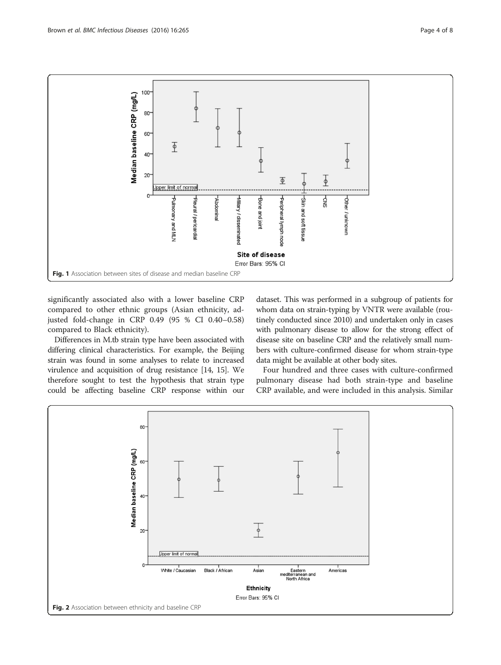<span id="page-3-0"></span>

significantly associated also with a lower baseline CRP compared to other ethnic groups (Asian ethnicity, adjusted fold-change in CRP 0.49 (95 % CI 0.40–0.58) compared to Black ethnicity).

Differences in M.tb strain type have been associated with differing clinical characteristics. For example, the Beijing strain was found in some analyses to relate to increased virulence and acquisition of drug resistance [\[14, 15](#page-7-0)]. We therefore sought to test the hypothesis that strain type could be affecting baseline CRP response within our dataset. This was performed in a subgroup of patients for whom data on strain-typing by VNTR were available (routinely conducted since 2010) and undertaken only in cases with pulmonary disease to allow for the strong effect of disease site on baseline CRP and the relatively small numbers with culture-confirmed disease for whom strain-type data might be available at other body sites.

Four hundred and three cases with culture-confirmed pulmonary disease had both strain-type and baseline CRP available, and were included in this analysis. Similar

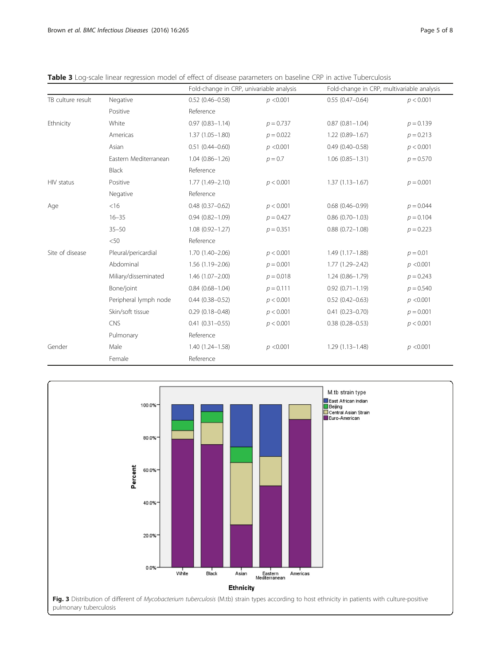<span id="page-4-0"></span>

|  |  |  | Table 3 Log-scale linear regression model of effect of disease parameters on baseline CRP in active Tuberculosis |
|--|--|--|------------------------------------------------------------------------------------------------------------------|
|  |  |  |                                                                                                                  |

|                   |                       | Fold-change in CRP, univariable analysis |             | Fold-change in CRP, multivariable analysis |             |
|-------------------|-----------------------|------------------------------------------|-------------|--------------------------------------------|-------------|
| TB culture result | Negative              | $0.52(0.46 - 0.58)$                      | p < 0.001   | $0.55(0.47-0.64)$                          | p < 0.001   |
|                   | Positive              | Reference                                |             |                                            |             |
| Ethnicity         | White                 | $0.97(0.83 - 1.14)$                      | $p = 0.737$ | $0.87(0.81 - 1.04)$                        | $p = 0.139$ |
|                   | Americas              | $1.37(1.05 - 1.80)$                      | $p = 0.022$ | $1.22(0.89 - 1.67)$                        | $p = 0.213$ |
|                   | Asian                 | $0.51(0.44 - 0.60)$                      | p < 0.001   | $0.49(0.40 - 0.58)$                        | p < 0.001   |
|                   | Eastern Mediterranean | $1.04(0.86 - 1.26)$                      | $p = 0.7$   | $1.06(0.85 - 1.31)$                        | $p = 0.570$ |
|                   | <b>Black</b>          | Reference                                |             |                                            |             |
| HIV status        | Positive              | $1.77(1.49 - 2.10)$                      | p < 0.001   | $1.37(1.13 - 1.67)$                        | $p = 0.001$ |
|                   | Negative              | Reference                                |             |                                            |             |
| Age               | $<$ 16                | $0.48(0.37 - 0.62)$                      | p < 0.001   | $0.68(0.46 - 0.99)$                        | $p = 0.044$ |
|                   | $16 - 35$             | $0.94(0.82 - 1.09)$                      | $p = 0.427$ | $0.86(0.70 - 1.03)$                        | $p = 0.104$ |
|                   | $35 - 50$             | $1.08(0.92 - 1.27)$                      | $p = 0.351$ | $0.88(0.72 - 1.08)$                        | $p = 0.223$ |
|                   | $<$ 50                | Reference                                |             |                                            |             |
| Site of disease   | Pleural/pericardial   | $1.70(1.40 - 2.06)$                      | p < 0.001   | $1.49(1.17 - 1.88)$                        | $p = 0.01$  |
|                   | Abdominal             | $1.56(1.19 - 2.06)$                      | $p = 0.001$ | $1.77(1.29 - 2.42)$                        | p < 0.001   |
|                   | Miliary/disseminated  | $1.46(1.07 - 2.00)$                      | $p = 0.018$ | $1.24(0.86 - 1.79)$                        | $p = 0.243$ |
|                   | Bone/joint            | $0.84(0.68 - 1.04)$                      | $p = 0.111$ | $0.92(0.71 - 1.19)$                        | $p = 0.540$ |
|                   | Peripheral lymph node | $0.44(0.38 - 0.52)$                      | p < 0.001   | $0.52(0.42 - 0.63)$                        | p < 0.001   |
|                   | Skin/soft tissue      | $0.29(0.18 - 0.48)$                      | p < 0.001   | $0.41(0.23 - 0.70)$                        | $p = 0.001$ |
|                   | <b>CNS</b>            | $0.41(0.31 - 0.55)$                      | p < 0.001   | $0.38(0.28 - 0.53)$                        | p < 0.001   |
|                   | Pulmonary             | Reference                                |             |                                            |             |
| Gender            | Male                  | $1.40(1.24 - 1.58)$                      | p < 0.001   | $1.29(1.13 - 1.48)$                        | p < 0.001   |
|                   | Female                | Reference                                |             |                                            |             |

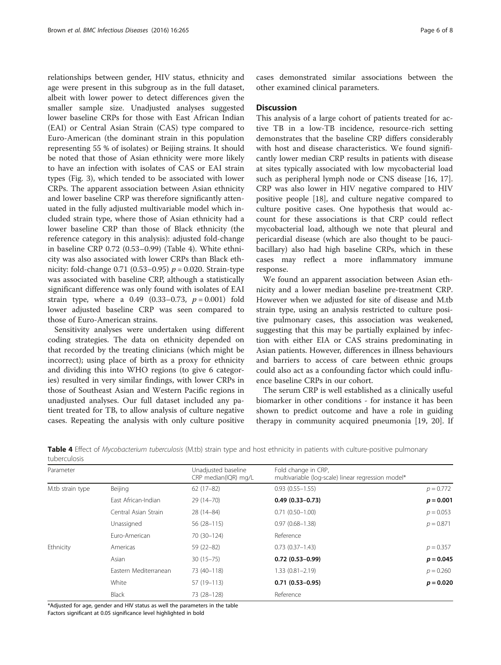relationships between gender, HIV status, ethnicity and age were present in this subgroup as in the full dataset, albeit with lower power to detect differences given the smaller sample size. Unadjusted analyses suggested lower baseline CRPs for those with East African Indian (EAI) or Central Asian Strain (CAS) type compared to Euro-American (the dominant strain in this population representing 55 % of isolates) or Beijing strains. It should be noted that those of Asian ethnicity were more likely to have an infection with isolates of CAS or EAI strain types (Fig. [3\)](#page-4-0), which tended to be associated with lower CRPs. The apparent association between Asian ethnicity and lower baseline CRP was therefore significantly attenuated in the fully adjusted multivariable model which included strain type, where those of Asian ethnicity had a lower baseline CRP than those of Black ethnicity (the reference category in this analysis): adjusted fold-change in baseline CRP 0.72 (0.53–0.99) (Table 4). White ethnicity was also associated with lower CRPs than Black ethnicity: fold-change  $0.71$  (0.53–0.95)  $p = 0.020$ . Strain-type was associated with baseline CRP, although a statistically significant difference was only found with isolates of EAI strain type, where a 0.49  $(0.33-0.73, p = 0.001)$  fold lower adjusted baseline CRP was seen compared to those of Euro-American strains.

Sensitivity analyses were undertaken using different coding strategies. The data on ethnicity depended on that recorded by the treating clinicians (which might be incorrect); using place of birth as a proxy for ethnicity and dividing this into WHO regions (to give 6 categories) resulted in very similar findings, with lower CRPs in those of Southeast Asian and Western Pacific regions in unadjusted analyses. Our full dataset included any patient treated for TB, to allow analysis of culture negative cases. Repeating the analysis with only culture positive cases demonstrated similar associations between the other examined clinical parameters.

## **Discussion**

This analysis of a large cohort of patients treated for active TB in a low-TB incidence, resource-rich setting demonstrates that the baseline CRP differs considerably with host and disease characteristics. We found significantly lower median CRP results in patients with disease at sites typically associated with low mycobacterial load such as peripheral lymph node or CNS disease [[16, 17](#page-7-0)]. CRP was also lower in HIV negative compared to HIV positive people [[18\]](#page-7-0), and culture negative compared to culture positive cases. One hypothesis that would account for these associations is that CRP could reflect mycobacterial load, although we note that pleural and pericardial disease (which are also thought to be paucibacillary) also had high baseline CRPs, which in these cases may reflect a more inflammatory immune response.

We found an apparent association between Asian ethnicity and a lower median baseline pre-treatment CRP. However when we adjusted for site of disease and M.tb strain type, using an analysis restricted to culture positive pulmonary cases, this association was weakened, suggesting that this may be partially explained by infection with either EIA or CAS strains predominating in Asian patients. However, differences in illness behaviours and barriers to access of care between ethnic groups could also act as a confounding factor which could influence baseline CRPs in our cohort.

The serum CRP is well established as a clinically useful biomarker in other conditions - for instance it has been shown to predict outcome and have a role in guiding therapy in community acquired pneumonia [[19](#page-7-0), [20\]](#page-7-0). If

| Table 4 Effect of Mycobacterium tuberculosis (M.tb) strain type and host ethnicity in patients with culture-positive pulmonary |  |  |  |
|--------------------------------------------------------------------------------------------------------------------------------|--|--|--|
| tuberculosis                                                                                                                   |  |  |  |

| Parameter        |                       | Unadjusted baseline<br>CRP median(IQR) mg/L | Fold change in CRP,<br>multivariable (log-scale) linear regression model* |             |
|------------------|-----------------------|---------------------------------------------|---------------------------------------------------------------------------|-------------|
| M.tb strain type | Beijing               | $62(17-82)$                                 | $0.93(0.55 - 1.55)$                                                       | $p = 0.772$ |
|                  | East African-Indian   | 29 (14-70)                                  | $0.49(0.33 - 0.73)$                                                       | $p = 0.001$ |
|                  | Central Asian Strain  | 28 (14-84)                                  | $0.71(0.50 - 1.00)$                                                       | $p = 0.053$ |
|                  | Unassigned            | $56(28-115)$                                | $0.97(0.68 - 1.38)$                                                       | $p = 0.871$ |
|                  | Euro-American         | 70 (30-124)                                 | Reference                                                                 |             |
| Ethnicity        | Americas              | $59(22 - 82)$                               | $0.73(0.37 - 1.43)$                                                       | $p = 0.357$ |
|                  | Asian                 | $30(15 - 75)$                               | $0.72(0.53 - 0.99)$                                                       | $p = 0.045$ |
|                  | Eastern Mediterranean | 73 (40-118)                                 | $1.33(0.81 - 2.19)$                                                       | $p = 0.260$ |
|                  | White                 | 57 (19-113)                                 | $0.71(0.53 - 0.95)$                                                       | $p = 0.020$ |
|                  | <b>Black</b>          | 73 (28-128)                                 | Reference                                                                 |             |

\*Adjusted for age, gender and HIV status as well the parameters in the table

Factors significant at 0.05 significance level highlighted in bold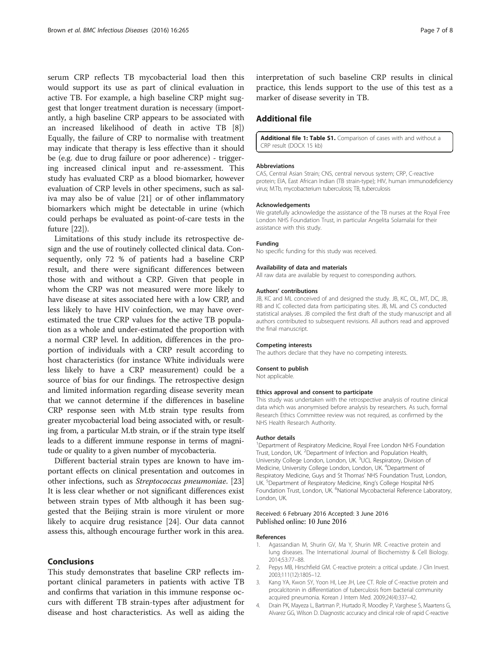<span id="page-6-0"></span>serum CRP reflects TB mycobacterial load then this would support its use as part of clinical evaluation in active TB. For example, a high baseline CRP might suggest that longer treatment duration is necessary (importantly, a high baseline CRP appears to be associated with an increased likelihood of death in active TB [\[8](#page-7-0)]) Equally, the failure of CRP to normalise with treatment may indicate that therapy is less effective than it should be (e.g. due to drug failure or poor adherence) - triggering increased clinical input and re-assessment. This study has evaluated CRP as a blood biomarker, however evaluation of CRP levels in other specimens, such as saliva may also be of value [[21\]](#page-7-0) or of other inflammatory biomarkers which might be detectable in urine (which could perhaps be evaluated as point-of-care tests in the future [[22](#page-7-0)]).

Limitations of this study include its retrospective design and the use of routinely collected clinical data. Consequently, only 72 % of patients had a baseline CRP result, and there were significant differences between those with and without a CRP. Given that people in whom the CRP was not measured were more likely to have disease at sites associated here with a low CRP, and less likely to have HIV coinfection, we may have overestimated the true CRP values for the active TB population as a whole and under-estimated the proportion with a normal CRP level. In addition, differences in the proportion of individuals with a CRP result according to host characteristics (for instance White individuals were less likely to have a CRP measurement) could be a source of bias for our findings. The retrospective design and limited information regarding disease severity mean that we cannot determine if the differences in baseline CRP response seen with M.tb strain type results from greater mycobacterial load being associated with, or resulting from, a particular M.tb strain, or if the strain type itself leads to a different immune response in terms of magnitude or quality to a given number of mycobacteria.

Different bacterial strain types are known to have important effects on clinical presentation and outcomes in other infections, such as Streptococcus pneumoniae. [[23](#page-7-0)] It is less clear whether or not significant differences exist between strain types of Mtb although it has been suggested that the Beijing strain is more virulent or more likely to acquire drug resistance [\[24](#page-7-0)]. Our data cannot assess this, although encourage further work in this area.

## Conclusions

This study demonstrates that baseline CRP reflects important clinical parameters in patients with active TB and confirms that variation in this immune response occurs with different TB strain-types after adjustment for disease and host characteristics. As well as aiding the interpretation of such baseline CRP results in clinical practice, this lends support to the use of this test as a marker of disease severity in TB.

## Additional file

[Additional file 1: Table S1.](dx.doi.org/10.1186/s12879-016-1612-1) Comparison of cases with and without a CRP result (DOCX 15 kb)

#### Abbreviations

CAS, Central Asian Strain; CNS, central nervous system; CRP, C-reactive protein; EIA, East African Indian (TB strain-type); HIV, human immunodeficiency virus; M.Tb, mycobacterium tuberculosis; TB, tuberculosis

#### Acknowledgements

We gratefully acknowledge the assistance of the TB nurses at the Royal Free London NHS Foundation Trust, in particular Angelita Solamalai for their assistance with this study.

#### Funding

No specific funding for this study was received.

#### Availability of data and materials

All raw data are available by request to corresponding authors.

#### Authors' contributions

JB, KC and ML conceived of and designed the study. JB, KC, OL, MT, DC, JB, RB and IC collected data from participating sites. JB, ML and CS conducted statistical analyses. JB compiled the first draft of the study manuscript and all authors contributed to subsequent revisions. All authors read and approved the final manuscript.

#### Competing interests

The authors declare that they have no competing interests.

### Consent to publish

Not applicable.

#### Ethics approval and consent to participate

This study was undertaken with the retrospective analysis of routine clinical data which was anonymised before analysis by researchers. As such, formal Research Ethics Committee review was not required, as confirmed by the NHS Health Research Authority.

#### Author details

<sup>1</sup>Department of Respiratory Medicine, Royal Free London NHS Foundation Trust, London, UK. <sup>2</sup>Department of Infection and Population Health University College London, London, UK. <sup>3</sup>UCL Respiratory, Division of Medicine, University College London, London, UK. <sup>4</sup>Department of Respiratory Medicine, Guys and St Thomas' NHS Foundation Trust, London, UK. <sup>5</sup>Department of Respiratory Medicine, King's College Hospital NHS Foundation Trust, London, UK. <sup>6</sup>National Mycobacterial Reference Laboratory, London, UK.

#### Received: 6 February 2016 Accepted: 3 June 2016 Published online: 10 June 2016

#### References

- 1. Agassandian M, Shurin GV, Ma Y, Shurin MR. C-reactive protein and lung diseases. The International Journal of Biochemistry & Cell Biology. 2014;53:77–88.
- 2. Pepys MB, Hirschfield GM. C-reactive protein: a critical update. J Clin Invest. 2003;111(12):1805–12.
- 3. Kang YA, Kwon SY, Yoon HI, Lee JH, Lee CT. Role of C-reactive protein and procalcitonin in differentiation of tuberculosis from bacterial community acquired pneumonia. Korean J Intern Med. 2009;24(4):337–42.
- 4. Drain PK, Mayeza L, Bartman P, Hurtado R, Moodley P, Varghese S, Maartens G, Alvarez GG, Wilson D. Diagnostic accuracy and clinical role of rapid C-reactive